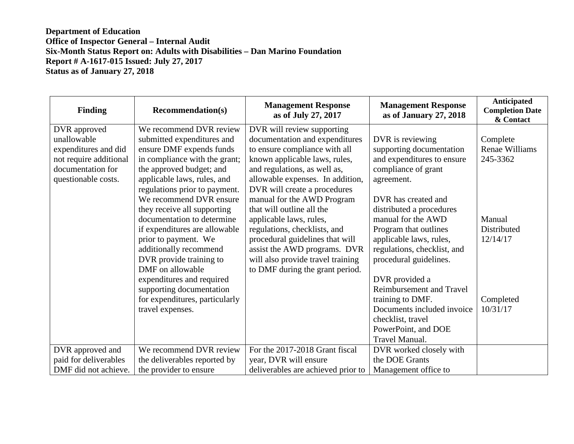| <b>Finding</b>         | <b>Recommendation(s)</b>       | <b>Management Response</b><br>as of July 27, 2017 | <b>Management Response</b><br>as of January 27, 2018 | Anticipated<br><b>Completion Date</b><br>& Contact |
|------------------------|--------------------------------|---------------------------------------------------|------------------------------------------------------|----------------------------------------------------|
| DVR approved           | We recommend DVR review        | DVR will review supporting                        |                                                      |                                                    |
| unallowable            | submitted expenditures and     | documentation and expenditures                    | DVR is reviewing                                     | Complete                                           |
| expenditures and did   | ensure DMF expends funds       | to ensure compliance with all                     | supporting documentation                             | Renae Williams                                     |
| not require additional | in compliance with the grant;  | known applicable laws, rules,                     | and expenditures to ensure                           | 245-3362                                           |
| documentation for      | the approved budget; and       | and regulations, as well as,                      | compliance of grant                                  |                                                    |
| questionable costs.    | applicable laws, rules, and    | allowable expenses. In addition,                  | agreement.                                           |                                                    |
|                        | regulations prior to payment.  | DVR will create a procedures                      |                                                      |                                                    |
|                        | We recommend DVR ensure        | manual for the AWD Program                        | DVR has created and                                  |                                                    |
|                        | they receive all supporting    | that will outline all the                         | distributed a procedures                             |                                                    |
|                        | documentation to determine     | applicable laws, rules,                           | manual for the AWD                                   | Manual                                             |
|                        | if expenditures are allowable  | regulations, checklists, and                      | Program that outlines                                | Distributed                                        |
|                        | prior to payment. We           | procedural guidelines that will                   | applicable laws, rules,                              | 12/14/17                                           |
|                        | additionally recommend         | assist the AWD programs. DVR                      | regulations, checklist, and                          |                                                    |
|                        | DVR provide training to        | will also provide travel training                 | procedural guidelines.                               |                                                    |
|                        | DMF on allowable               | to DMF during the grant period.                   |                                                      |                                                    |
|                        | expenditures and required      |                                                   | DVR provided a                                       |                                                    |
|                        | supporting documentation       |                                                   | Reimbursement and Travel                             |                                                    |
|                        | for expenditures, particularly |                                                   | training to DMF.                                     | Completed                                          |
|                        | travel expenses.               |                                                   | Documents included invoice                           | 10/31/17                                           |
|                        |                                |                                                   | checklist, travel                                    |                                                    |
|                        |                                |                                                   | PowerPoint, and DOE                                  |                                                    |
|                        |                                |                                                   | Travel Manual.                                       |                                                    |
| DVR approved and       | We recommend DVR review        | For the 2017-2018 Grant fiscal                    | DVR worked closely with                              |                                                    |
| paid for deliverables  | the deliverables reported by   | year, DVR will ensure                             | the DOE Grants                                       |                                                    |
| DMF did not achieve.   | the provider to ensure         | deliverables are achieved prior to                | Management office to                                 |                                                    |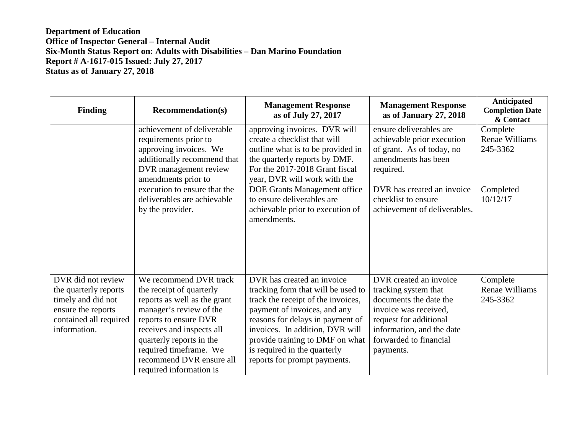| <b>Finding</b>                                                                                                                    | <b>Recommendation(s)</b>                                                                                                                                                                                                                                                         | <b>Management Response</b><br>as of July 27, 2017                                                                                                                                                                                                                                                                     | <b>Management Response</b><br>as of January 27, 2018                                                                                                                                                        | Anticipated<br><b>Completion Date</b><br>& Contact                     |
|-----------------------------------------------------------------------------------------------------------------------------------|----------------------------------------------------------------------------------------------------------------------------------------------------------------------------------------------------------------------------------------------------------------------------------|-----------------------------------------------------------------------------------------------------------------------------------------------------------------------------------------------------------------------------------------------------------------------------------------------------------------------|-------------------------------------------------------------------------------------------------------------------------------------------------------------------------------------------------------------|------------------------------------------------------------------------|
|                                                                                                                                   | achievement of deliverable<br>requirements prior to<br>approving invoices. We<br>additionally recommend that<br>DVR management review<br>amendments prior to<br>execution to ensure that the<br>deliverables are achievable<br>by the provider.                                  | approving invoices. DVR will<br>create a checklist that will<br>outline what is to be provided in<br>the quarterly reports by DMF.<br>For the 2017-2018 Grant fiscal<br>year, DVR will work with the<br>DOE Grants Management office<br>to ensure deliverables are<br>achievable prior to execution of<br>amendments. | ensure deliverables are<br>achievable prior execution<br>of grant. As of today, no<br>amendments has been<br>required.<br>DVR has created an invoice<br>checklist to ensure<br>achievement of deliverables. | Complete<br><b>Renae Williams</b><br>245-3362<br>Completed<br>10/12/17 |
| DVR did not review<br>the quarterly reports<br>timely and did not<br>ensure the reports<br>contained all required<br>information. | We recommend DVR track<br>the receipt of quarterly<br>reports as well as the grant<br>manager's review of the<br>reports to ensure DVR<br>receives and inspects all<br>quarterly reports in the<br>required timeframe. We<br>recommend DVR ensure all<br>required information is | DVR has created an invoice<br>tracking form that will be used to<br>track the receipt of the invoices,<br>payment of invoices, and any<br>reasons for delays in payment of<br>invoices. In addition, DVR will<br>provide training to DMF on what<br>is required in the quarterly<br>reports for prompt payments.      | DVR created an invoice<br>tracking system that<br>documents the date the<br>invoice was received,<br>request for additional<br>information, and the date<br>forwarded to financial<br>payments.             | Complete<br><b>Renae Williams</b><br>245-3362                          |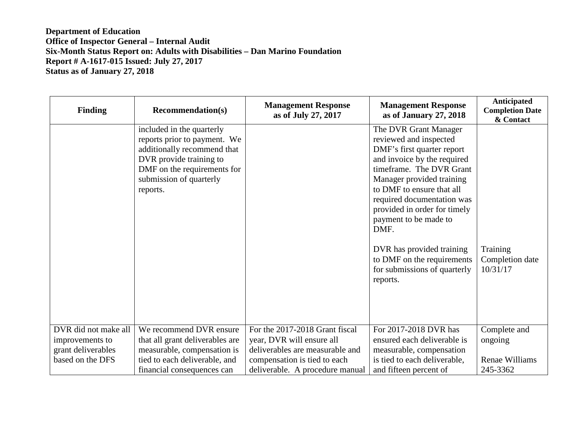| <b>Finding</b>       | <b>Recommendation(s)</b>                                                                                                                                                                  | <b>Management Response</b><br>as of July 27, 2017 | <b>Management Response</b><br>as of January 27, 2018                                                                                                                                                                                                                                                                                                                                                     | Anticipated<br><b>Completion Date</b><br>& Contact |
|----------------------|-------------------------------------------------------------------------------------------------------------------------------------------------------------------------------------------|---------------------------------------------------|----------------------------------------------------------------------------------------------------------------------------------------------------------------------------------------------------------------------------------------------------------------------------------------------------------------------------------------------------------------------------------------------------------|----------------------------------------------------|
|                      | included in the quarterly<br>reports prior to payment. We<br>additionally recommend that<br>DVR provide training to<br>DMF on the requirements for<br>submission of quarterly<br>reports. |                                                   | The DVR Grant Manager<br>reviewed and inspected<br>DMF's first quarter report<br>and invoice by the required<br>timeframe. The DVR Grant<br>Manager provided training<br>to DMF to ensure that all<br>required documentation was<br>provided in order for timely<br>payment to be made to<br>DMF.<br>DVR has provided training<br>to DMF on the requirements<br>for submissions of quarterly<br>reports. | Training<br>Completion date<br>10/31/17            |
|                      |                                                                                                                                                                                           |                                                   |                                                                                                                                                                                                                                                                                                                                                                                                          |                                                    |
| DVR did not make all | We recommend DVR ensure                                                                                                                                                                   | For the 2017-2018 Grant fiscal                    | For 2017-2018 DVR has                                                                                                                                                                                                                                                                                                                                                                                    | Complete and                                       |
| improvements to      | that all grant deliverables are                                                                                                                                                           | year, DVR will ensure all                         | ensured each deliverable is                                                                                                                                                                                                                                                                                                                                                                              | ongoing                                            |
| grant deliverables   | measurable, compensation is                                                                                                                                                               | deliverables are measurable and                   | measurable, compensation                                                                                                                                                                                                                                                                                                                                                                                 |                                                    |
| based on the DFS     | tied to each deliverable, and                                                                                                                                                             | compensation is tied to each                      | is tied to each deliverable,                                                                                                                                                                                                                                                                                                                                                                             | Renae Williams                                     |
|                      | financial consequences can                                                                                                                                                                | deliverable. A procedure manual                   | and fifteen percent of                                                                                                                                                                                                                                                                                                                                                                                   | 245-3362                                           |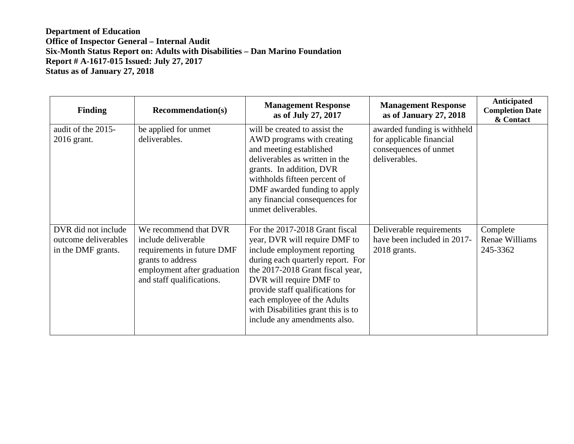| <b>Finding</b>                                                    | <b>Recommendation(s)</b>                                                                                                                                    | <b>Management Response</b><br>as of July 27, 2017                                                                                                                                                                                                                                                                                            | <b>Management Response</b><br>as of January 27, 2018                                              | Anticipated<br><b>Completion Date</b><br>& Contact |
|-------------------------------------------------------------------|-------------------------------------------------------------------------------------------------------------------------------------------------------------|----------------------------------------------------------------------------------------------------------------------------------------------------------------------------------------------------------------------------------------------------------------------------------------------------------------------------------------------|---------------------------------------------------------------------------------------------------|----------------------------------------------------|
| audit of the 2015-<br>2016 grant.                                 | be applied for unmet<br>deliverables.                                                                                                                       | will be created to assist the<br>AWD programs with creating<br>and meeting established<br>deliverables as written in the<br>grants. In addition, DVR<br>withholds fifteen percent of<br>DMF awarded funding to apply<br>any financial consequences for<br>unmet deliverables.                                                                | awarded funding is withheld<br>for applicable financial<br>consequences of unmet<br>deliverables. |                                                    |
| DVR did not include<br>outcome deliverables<br>in the DMF grants. | We recommend that DVR<br>include deliverable<br>requirements in future DMF<br>grants to address<br>employment after graduation<br>and staff qualifications. | For the 2017-2018 Grant fiscal<br>year, DVR will require DMF to<br>include employment reporting<br>during each quarterly report. For<br>the 2017-2018 Grant fiscal year,<br>DVR will require DMF to<br>provide staff qualifications for<br>each employee of the Adults<br>with Disabilities grant this is to<br>include any amendments also. | Deliverable requirements<br>have been included in 2017-<br>2018 grants.                           | Complete<br><b>Renae Williams</b><br>245-3362      |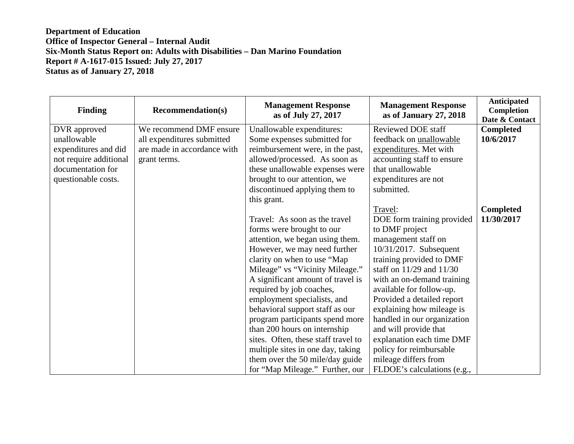| <b>Finding</b>         | <b>Recommendation(s)</b>    | <b>Management Response</b><br>as of July 27, 2017 | <b>Management Response</b><br>as of January 27, 2018 | <b>Anticipated</b><br><b>Completion</b><br>Date & Contact |
|------------------------|-----------------------------|---------------------------------------------------|------------------------------------------------------|-----------------------------------------------------------|
| DVR approved           | We recommend DMF ensure     | Unallowable expenditures:                         | <b>Reviewed DOE staff</b>                            | <b>Completed</b>                                          |
| unallowable            | all expenditures submitted  | Some expenses submitted for                       | feedback on unallowable                              | 10/6/2017                                                 |
| expenditures and did   | are made in accordance with | reimbursement were, in the past,                  | expenditures. Met with                               |                                                           |
| not require additional | grant terms.                | allowed/processed. As soon as                     | accounting staff to ensure                           |                                                           |
| documentation for      |                             | these unallowable expenses were                   | that unallowable                                     |                                                           |
| questionable costs.    |                             | brought to our attention, we                      | expenditures are not                                 |                                                           |
|                        |                             | discontinued applying them to                     | submitted.                                           |                                                           |
|                        |                             | this grant.                                       |                                                      |                                                           |
|                        |                             |                                                   | Travel:                                              | <b>Completed</b>                                          |
|                        |                             | Travel: As soon as the travel                     | DOE form training provided                           | 11/30/2017                                                |
|                        |                             | forms were brought to our                         | to DMF project                                       |                                                           |
|                        |                             | attention, we began using them.                   | management staff on                                  |                                                           |
|                        |                             | However, we may need further                      | 10/31/2017. Subsequent                               |                                                           |
|                        |                             | clarity on when to use "Map"                      | training provided to DMF                             |                                                           |
|                        |                             | Mileage" vs "Vicinity Mileage."                   | staff on $11/29$ and $11/30$                         |                                                           |
|                        |                             | A significant amount of travel is                 | with an on-demand training                           |                                                           |
|                        |                             | required by job coaches,                          | available for follow-up.                             |                                                           |
|                        |                             | employment specialists, and                       | Provided a detailed report                           |                                                           |
|                        |                             | behavioral support staff as our                   | explaining how mileage is                            |                                                           |
|                        |                             | program participants spend more                   | handled in our organization                          |                                                           |
|                        |                             | than 200 hours on internship                      | and will provide that                                |                                                           |
|                        |                             | sites. Often, these staff travel to               | explanation each time DMF                            |                                                           |
|                        |                             | multiple sites in one day, taking                 | policy for reimbursable                              |                                                           |
|                        |                             | them over the 50 mile/day guide                   | mileage differs from                                 |                                                           |
|                        |                             | for "Map Mileage." Further, our                   | FLDOE's calculations (e.g.,                          |                                                           |